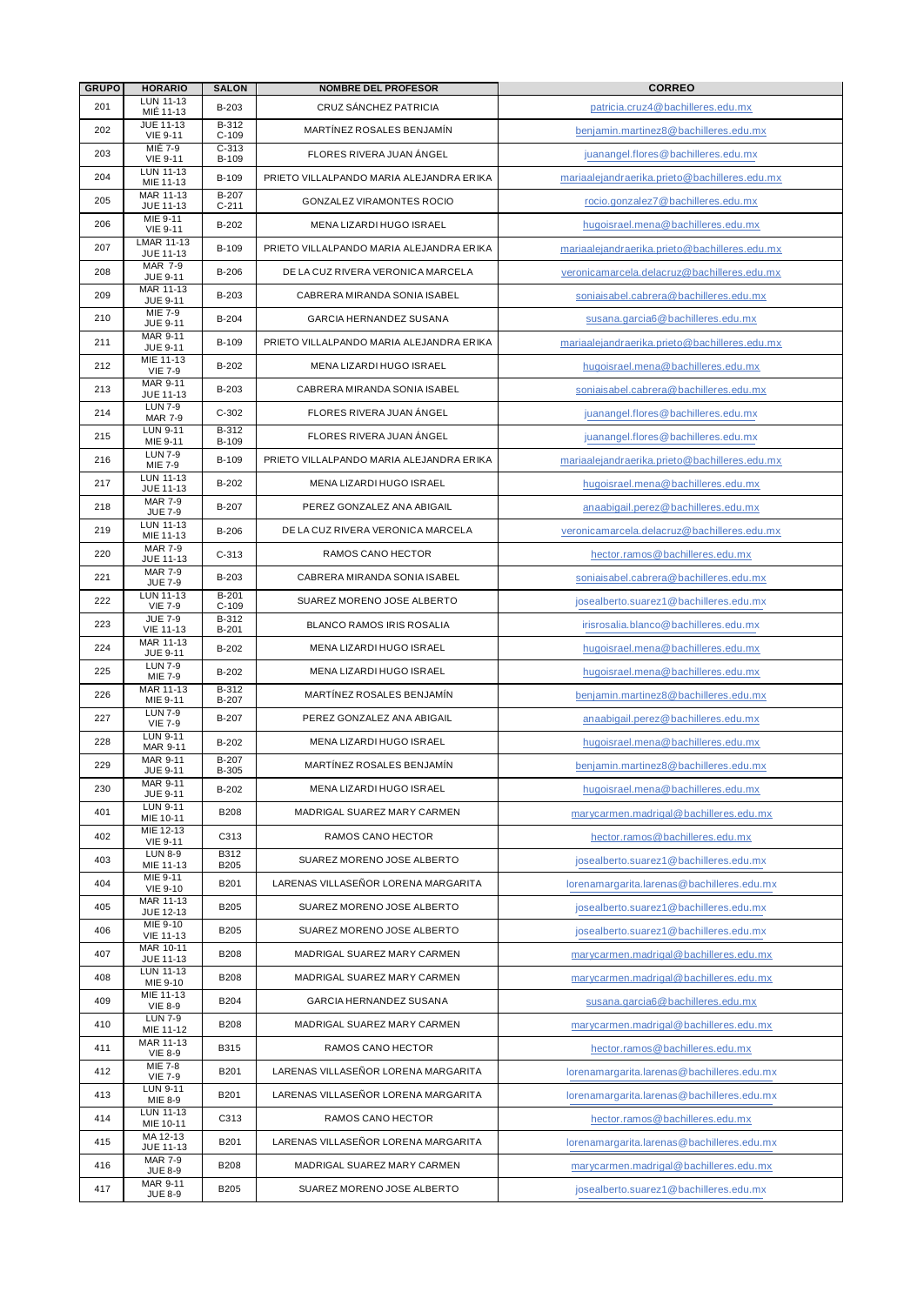| <b>GRUPO</b> | <b>HORARIO</b>                     | <b>SALÓN</b>       | <b>NOMBRE DEL PROFESOR</b>               | <b>CORREO</b>                                 |
|--------------|------------------------------------|--------------------|------------------------------------------|-----------------------------------------------|
| 201          | LUN 11-13<br>MIÉ 11-13             | B-203              | CRUZ SÁNCHEZ PATRICIA                    | patricia.cruz4@bachilleres.edu.mx             |
| 202          | <b>JUE 11-13</b>                   | B-312              | MARTÍNEZ ROSALES BENJAMÍN                | benjamin.martinez8@bachilleres.edu.mx         |
|              | <b>VIE 9-11</b><br>MIÉ 7-9         | $C-109$<br>$C-313$ |                                          |                                               |
| 203          | <b>VIE 9-11</b><br>LUN 11-13       | B-109              | FLORES RIVERA JUAN ANGEL                 | juanangel.flores@bachilleres.edu.mx           |
| 204          | MIE 11-13                          | B-109              | PRIETO VILLALPANDO MARIA ALEJANDRA ERIKA | mariaalejandraerika.prieto@bachilleres.edu.mx |
| 205          | MAR 11-13<br>JUE 11-13             | B-207<br>$C-211$   | GONZALEZ VIRAMONTES ROCIO                | rocio.gonzalez7@bachilleres.edu.mx            |
| 206          | MIE 9-11<br><b>VIE 9-11</b>        | B-202              | MENA LIZARDI HUGO ISRAEL                 | hugoisrael.mena@bachilleres.edu.mx            |
| 207          | <b>LMAR 11-13</b><br>JUE 11-13     | B-109              | PRIETO VILLALPANDO MARIA ALEJANDRA ERIKA | mariaaleiandraerika.prieto@bachilleres.edu.mx |
| 208          | <b>MAR 7-9</b><br><b>JUE 9-11</b>  | <b>B-206</b>       | DE LA CUZ RIVERA VERONICA MARCELA        | veronicamarcela.delacruz@bachilleres.edu.mx   |
| 209          | MAR 11-13                          | B-203              | CABRERA MIRANDA SONIA ISABEL             | soniaisabel.cabrera@bachilleres.edu.mx        |
| 210          | <b>JUE 9-11</b><br>MIE 7-9         | B-204              | <b>GARCIA HERNANDEZ SUSANA</b>           | susana.garcia6@bachilleres.edu.mx             |
| 211          | <b>JUE 9-11</b><br>MAR 9-11        | B-109              | PRIETO VILLALPANDO MARIA ALEJANDRA ERIKA |                                               |
|              | <b>JUE 9-11</b><br>MIE 11-13       |                    |                                          | mariaalejandraerika.prieto@bachilleres.edu.mx |
| 212          | <b>VIE 7-9</b><br>MAR 9-11         | B-202              | MENA LIZARDI HUGO ISRAEL                 | hugoisrael.mena@bachilleres.edu.mx            |
| 213          | JUE 11-13                          | B-203              | CABRERA MIRANDA SONIA ISABEL             | soniaisabel.cabrera@bachilleres.edu.mx        |
| 214          | <b>LUN 7-9</b><br><b>MAR 7-9</b>   | $C-302$            | FLORES RIVERA JUAN ANGEL                 | juanangel.flores@bachilleres.edu.mx           |
| 215          | <b>LUN 9-11</b><br>MIE 9-11        | B-312<br>B-109     | FLORES RIVERA JUAN ÁNGEL                 | juanangel.flores@bachilleres.edu.mx           |
| 216          | <b>LUN 7-9</b><br>MIE 7-9          | B-109              | PRIETO VILLALPANDO MARIA ALEJANDRA ERIKA | mariaalejandraerika.prieto@bachilleres.edu.mx |
| 217          | LUN 11-13<br>JUE 11-13             | B-202              | MENA LIZARDI HUGO ISRAEL                 | hugoisrael.mena@bachilleres.edu.mx            |
| 218          | <b>MAR 7-9</b><br><b>JUE 7-9</b>   | B-207              | PEREZ GONZALEZ ANA ABIGAIL               | anaabigail.perez@bachilleres.edu.mx           |
| 219          | LUN 11-13                          | B-206              | DE LA CUZ RIVERA VERONICA MARCELA        | veronicamarcela.delacruz@bachilleres.edu.mx   |
| 220          | MIE 11-13<br><b>MAR 7-9</b>        | $C-313$            | RAMOS CANO HECTOR                        | hector.ramos@bachilleres.edu.mx               |
| 221          | JUE 11-13<br><b>MAR 7-9</b>        | B-203              | CABRERA MIRANDA SONIA ISABEL             | soniaisabel.cabrera@bachilleres.edu.mx        |
|              | <b>JUE 7-9</b><br>LUN 11-13        | $B-201$            |                                          |                                               |
| 222          | <b>VIE 7-9</b><br><b>JUE 7-9</b>   | $C-109$<br>B-312   | SUAREZ MORENO JOSE ALBERTO               | josealberto.suarez1@bachilleres.edu.mx        |
| 223          | <b>VIE 11-13</b>                   | B-201              | <b>BLANCO RAMOS IRIS ROSALIA</b>         | irisrosalia.blanco@bachilleres.edu.mx         |
| 224          | MAR 11-13<br><b>JUE 9-11</b>       | B-202              | MENA LIZARDI HUGO ISRAEL                 | hugoisrael.mena@bachilleres.edu.mx            |
| 225          | <b>LUN 7-9</b><br>MIE 7-9          | B-202              | MENA LIZARDI HUGO ISRAEL                 | hugoisrael.mena@bachilleres.edu.mx            |
| 226          | MAR 11-13<br>MIE 9-11              | $B-312$<br>B-207   | MARTÍNEZ ROSALES BENJAMÍN                | benjamin.martinez8@bachilleres.edu.mx         |
| 227          | <b>LUN 7-9</b><br><b>VIE 7-9</b>   | B-207              | PEREZ GONZALEZ ANA ABIGAIL               | anaabigail.perez@bachilleres.edu.mx           |
| 228          | <b>LUN 9-11</b><br>MAR 9-11        | B-202              | MENA LIZARDI HUGO ISRAEL                 | hugoisrael.mena@bachilleres.edu.mx            |
| 229          | MAR 9-11<br><b>JUE 9-11</b>        | B-207<br>B-305     | MARTINEZ ROSALES BENJAMÍN                | benjamin.martinez8@bachilleres.edu.mx         |
| 230          | <b>MAR 9-11</b><br><b>JUE 9-11</b> | B-202              | MENA LIZARDI HUGO ISRAEL                 | hugoisrael.mena@bachilleres.edu.mx            |
| 401          | LUN 9-11                           | <b>B208</b>        | MADRIGAL SUAREZ MARY CARMEN              | marycarmen.madrigal@bachilleres.edu.mx        |
| 402          | MIE 10-11<br>MIE 12-13             | C313               | RAMOS CANO HECTOR                        |                                               |
|              | <b>VIE 9-11</b><br><b>LUN 8-9</b>  | B312               |                                          | hector.ramos@bachilleres.edu.mx               |
| 403          | MIE 11-13<br>MIE 9-11              | <b>B205</b>        | SUAREZ MORENO JOSE ALBERTO               | josealberto.suarez1@bachilleres.edu.mx        |
| 404          | <b>VIE 9-10</b><br>MAR 11-13       | B201               | LARENAS VILLASEÑOR LORENA MARGARITA      | lorenamargarita.larenas@bachilleres.edu.mx    |
| 405          | JUE 12-13                          | B205               | SUAREZ MORENO JOSE ALBERTO               | josealberto.suarez1@bachilleres.edu.mx        |
| 406          | MIE 9-10<br><b>VIE 11-13</b>       | B205               | SUAREZ MORENO JOSE ALBERTO               | josealberto.suarez1@bachilleres.edu.mx        |
| 407          | MAR 10-11<br>JUE 11-13             | B208               | MADRIGAL SUAREZ MARY CARMEN              | marycarmen.madrigal@bachilleres.edu.mx        |
| 408          | LUN 11-13<br>MIE 9-10              | B208               | MADRIGAL SUAREZ MARY CARMEN              | marycarmen.madrigal@bachilleres.edu.mx        |
| 409          | MIE 11-13<br><b>VIE 8-9</b>        | <b>B204</b>        | GARCIA HERNANDEZ SUSANA                  | susana.garcia6@bachilleres.edu.mx             |
| 410          | <b>LUN 7-9</b><br>MIE 11-12        | <b>B208</b>        | MADRIGAL SUAREZ MARY CARMEN              | marycarmen.madrigal@bachilleres.edu.mx        |
| 411          | MAR 11-13                          | <b>B315</b>        | RAMOS CANO HECTOR                        | hector.ramos@bachilleres.edu.mx               |
| 412          | <b>VIE 8-9</b><br>MIE 7-8          | B201               | LARENAS VILLASEÑOR LORENA MARGARITA      | lorenamargarita.larenas@bachilleres.edu.mx    |
| 413          | <b>VIE 7-9</b><br><b>LUN 9-11</b>  |                    | LARENAS VILLASEÑOR LORENA MARGARITA      |                                               |
|              | MIE 8-9<br>LUN 11-13               | B201               |                                          | lorenamargarita.larenas@bachilleres.edu.mx    |
| 414          | MIE 10-11<br>MA 12-13              | C313               | RAMOS CANO HECTOR                        | hector.ramos@bachilleres.edu.mx               |
| 415          | JUE 11-13                          | B201               | LARENAS VILLASEÑOR LORENA MARGARITA      | lorenamargarita.larenas@bachilleres.edu.mx    |
| 416          | <b>MAR 7-9</b><br><b>JUE 8-9</b>   | B208               | MADRIGAL SUAREZ MARY CARMEN              | marycarmen.madrigal@bachilleres.edu.mx        |
| 417          | MAR 9-11<br><b>JUE 8-9</b>         | <b>B205</b>        | SUAREZ MORENO JOSE ALBERTO               | josealberto.suarez1@bachilleres.edu.mx        |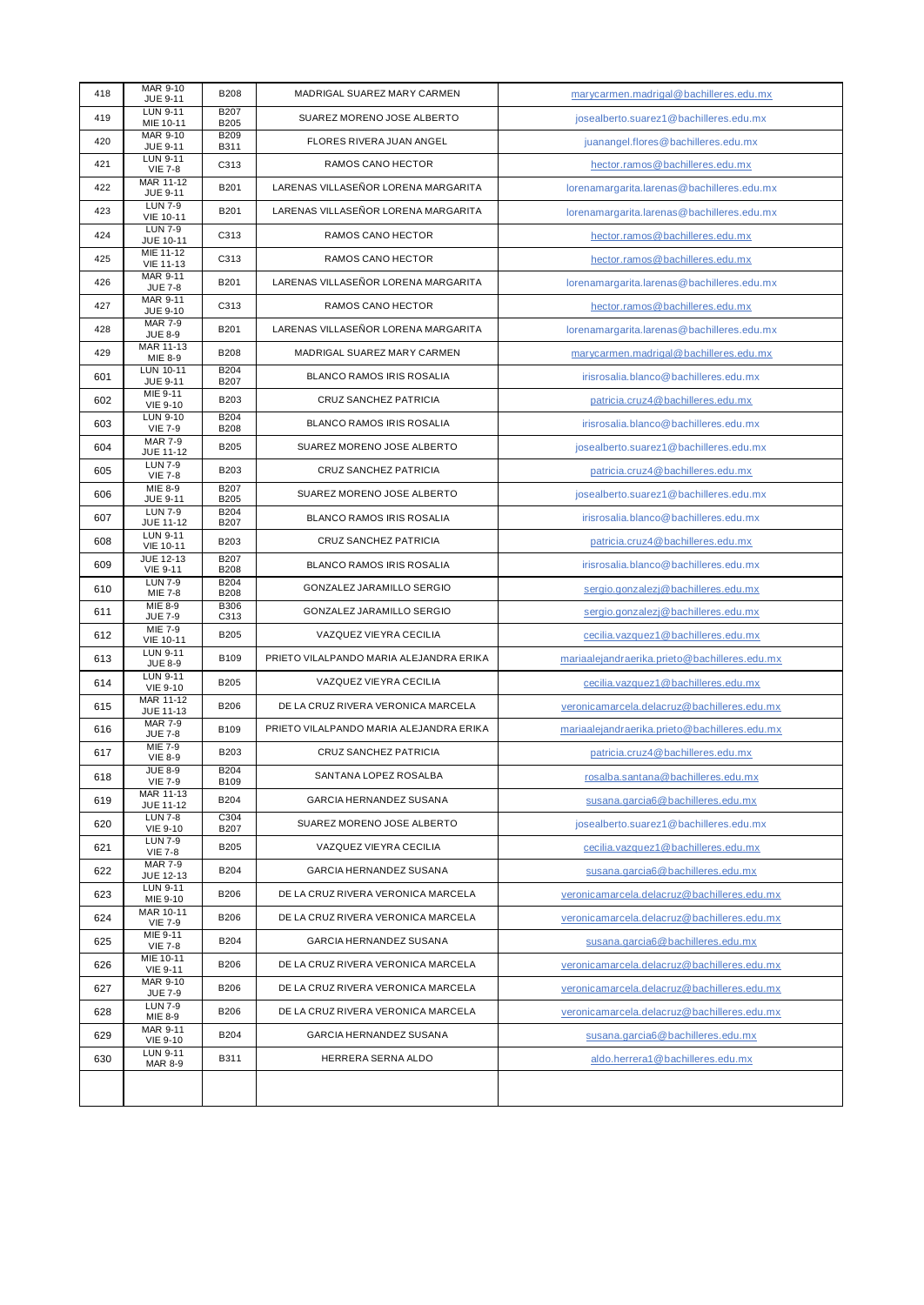| 418 | MAR 9-10<br>JUE 9-11                | <b>B208</b>                | MADRIGAL SUAREZ MARY CARMEN             | marycarmen.madrigal@bachilleres.edu.mx        |
|-----|-------------------------------------|----------------------------|-----------------------------------------|-----------------------------------------------|
| 419 | LUN 9-11<br>MIE 10-11               | <b>B207</b><br>B205        | SUAREZ MORENO JOSE ALBERTO              | josealberto.suarez1@bachilleres.edu.mx        |
| 420 | <b>MAR 9-10</b><br>JUE 9-11         | <b>B209</b><br>B311        | FLORES RIVERA JUAN ANGEL                | juanangel.flores@bachilleres.edu.mx           |
| 421 | <b>LUN 9-11</b><br><b>VIE 7-8</b>   | C313                       | RAMOS CANO HECTOR                       | hector.ramos@bachilleres.edu.mx               |
| 422 | MAR 11-12<br><b>JUE 9-11</b>        | B201                       | LARENAS VILLASEÑOR LORENA MARGARITA     | lorenamargarita.larenas@bachilleres.edu.mx    |
| 423 | <b>LUN 7-9</b><br><b>VIE 10-11</b>  | B201                       | LARENAS VILLASEÑOR LORENA MARGARITA     | lorenamargarita.larenas@bachilleres.edu.mx    |
| 424 | <b>LUN 7-9</b><br>JUE 10-11         | C313                       | RAMOS CANO HECTOR                       | hector.ramos@bachilleres.edu.mx               |
| 425 | MIE 11-12<br><b>VIE 11-13</b>       | C313                       | RAMOS CANO HECTOR                       | hector.ramos@bachilleres.edu.mx               |
| 426 | <b>MAR 9-11</b><br><b>JUE 7-8</b>   | B201                       | LARENAS VILLASEÑOR LORENA MARGARITA     | lorenamargarita.larenas@bachilleres.edu.mx    |
| 427 | <b>MAR 9-11</b><br><b>JUE 9-10</b>  | C313                       | RAMOS CANO HECTOR                       | hector.ramos@bachilleres.edu.mx               |
| 428 | <b>MAR 7-9</b><br><b>JUE 8-9</b>    | B201                       | LARENAS VILLASEÑOR LORENA MARGARITA     | lorenamargarita.larenas@bachilleres.edu.mx    |
| 429 | MAR 11-13<br>MIE 8-9                | <b>B208</b>                | MADRIGAL SUAREZ MARY CARMEN             | marycarmen.madrigal@bachilleres.edu.mx        |
| 601 | <b>LUN 10-11</b><br>JUE 9-11        | B204<br>B207               | BLANCO RAMOS IRIS ROSALIA               | irisrosalia.blanco@bachilleres.edu.mx         |
| 602 | MIE 9-11<br><b>VIE 9-10</b>         | B203                       | <b>CRUZ SANCHEZ PATRICIA</b>            | patricia.cruz4@bachilleres.edu.mx             |
| 603 | <b>LUN 9-10</b><br><b>VIE 7-9</b>   | B204<br><b>B208</b>        | <b>BLANCO RAMOS IRIS ROSALIA</b>        | irisrosalia.blanco@bachilleres.edu.mx         |
| 604 | <b>MAR 7-9</b><br>JUE 11-12         | B205                       | SUAREZ MORENO JOSE ALBERTO              | josealberto.suarez1@bachilleres.edu.mx        |
| 605 | <b>LUN 7-9</b><br><b>VIE 7-8</b>    | B203                       | CRUZ SANCHEZ PATRICIA                   | patricia.cruz4@bachilleres.edu.mx             |
| 606 | MIE 8-9<br>JUE 9-11                 | <b>B207</b><br><b>B205</b> | SUAREZ MORENO JOSE ALBERTO              | josealberto.suarez1@bachilleres.edu.mx        |
| 607 | <b>LUN 7-9</b><br><b>JUE 11-12</b>  | <b>B204</b><br>B207        | BLANCO RAMOS IRIS ROSALIA               | irisrosalia.blanco@bachilleres.edu.mx         |
| 608 | <b>LUN 9-11</b><br><b>VIE 10-11</b> | B203                       | CRUZ SANCHEZ PATRICIA                   | patricia.cruz4@bachilleres.edu.mx             |
| 609 | JUE 12-13<br><b>VIE 9-11</b>        | <b>B207</b><br><b>B208</b> | <b>BLANCO RAMOS IRIS ROSALIA</b>        | irisrosalia.blanco@bachilleres.edu.mx         |
| 610 | <b>LUN 7-9</b><br>MIE 7-8           | B204<br><b>B208</b>        | GONZALEZ JARAMILLO SERGIO               | sergio.gonzalezi@bachilleres.edu.mx           |
| 611 | MIE 8-9<br><b>JUE 7-9</b>           | <b>B306</b><br>C313        | GONZALEZ JARAMILLO SERGIO               | sergio.gonzalezi@bachilleres.edu.mx           |
| 612 | MIE 7-9<br><b>VIE 10-11</b>         | <b>B205</b>                | VAZQUEZ VIEYRA CECILIA                  | cecilia.vazquez1@bachilleres.edu.mx           |
| 613 | LUN 9-11<br><b>JUE 8-9</b>          | B109                       | PRIETO VILALPANDO MARIA ALEJANDRA ERIKA | mariaalejandraerika.prieto@bachilleres.edu.mx |
| 614 | LUN 9-11<br><b>VIE 9-10</b>         | B205                       | VAZQUEZ VIEYRA CECILIA                  | cecilia.vazquez1@bachilleres.edu.mx           |
| 615 | MAR 11-12<br>JUE 11-13              | <b>B206</b>                | DE LA CRUZ RIVERA VERONICA MARCELA      | veronicamarcela.delacruz@bachilleres.edu.mx   |
| 616 | <b>MAR 7-9</b><br><b>JUE 7-8</b>    | B109                       | PRIETO VILALPANDO MARIA ALEJANDRA ERIKA | mariaalejandraerika.prieto@bachilleres.edu.mx |
| 617 | <b>MIE 7-9</b><br><b>VIE 8-9</b>    | B203                       | <b>CRUZ SANCHEZ PATRICIA</b>            | patricia.cruz4@bachilleres.edu.mx             |
| 618 | <b>JUE 8-9</b><br><b>VIE 7-9</b>    | B204<br>B <sub>109</sub>   | SANTANA LOPEZ ROSALBA                   | rosalba.santana@bachilleres.edu.mx            |
| 619 | MAR 11-13<br>JUE 11-12              | <b>B204</b>                | GARCIA HERNANDEZ SUSANA                 | susana.garcia6@bachilleres.edu.mx             |
| 620 | <b>LUN 7-8</b><br><b>VIE 9-10</b>   | C304<br>B207               | SUAREZ MORENO JOSE ALBERTO              | josealberto.suarez1@bachilleres.edu.mx        |
| 621 | <b>LUN 7-9</b><br><b>VIE 7-8</b>    | <b>B205</b>                | VAZQUEZ VIEYRA CECILIA                  | cecilia.vazquez1@bachilleres.edu.mx           |
| 622 | <b>MAR 7-9</b><br><b>JUE 12-13</b>  | B204                       | GARCIA HERNANDEZ SUSANA                 | susana.garcia6@bachilleres.edu.mx             |
| 623 | LUN 9-11<br>MIE 9-10                | <b>B206</b>                | DE LA CRUZ RIVERA VERONICA MARCELA      | veronicamarcela.delacruz@bachilleres.edu.mx   |
| 624 | MAR 10-11<br><b>VIE 7-9</b>         | B206                       | DE LA CRUZ RIVERA VERONICA MARCELA      | veronicamarcela.delacruz@bachilleres.edu.mx   |
| 625 | MIE 9-11<br><b>VIE 7-8</b>          | B204                       | GARCIA HERNANDEZ SUSANA                 | susana.garcia6@bachilleres.edu.mx             |
| 626 | MIE 10-11<br><b>VIE 9-11</b>        | <b>B206</b>                | DE LA CRUZ RIVERA VERONICA MARCELA      | veronicamarcela.delacruz@bachilleres.edu.mx   |
| 627 | MAR 9-10<br><b>JUE 7-9</b>          | <b>B206</b>                | DE LA CRUZ RIVERA VERONICA MARCELA      | veronicamarcela.delacruz@bachilleres.edu.mx   |
| 628 | <b>LUN 7-9</b><br>MIE 8-9           | <b>B206</b>                | DE LA CRUZ RIVERA VERONICA MARCELA      | veronicamarcela.delacruz@bachilleres.edu.mx   |
| 629 | MAR 9-11<br><b>VIE 9-10</b>         | B204                       | GARCIA HERNANDEZ SUSANA                 | susana.garcia6@bachilleres.edu.mx             |
| 630 | LUN 9-11<br><b>MAR 8-9</b>          | B311                       | HERRERA SERNA ALDO                      | aldo.herrera1@bachilleres.edu.mx              |
|     |                                     |                            |                                         |                                               |
|     |                                     |                            |                                         |                                               |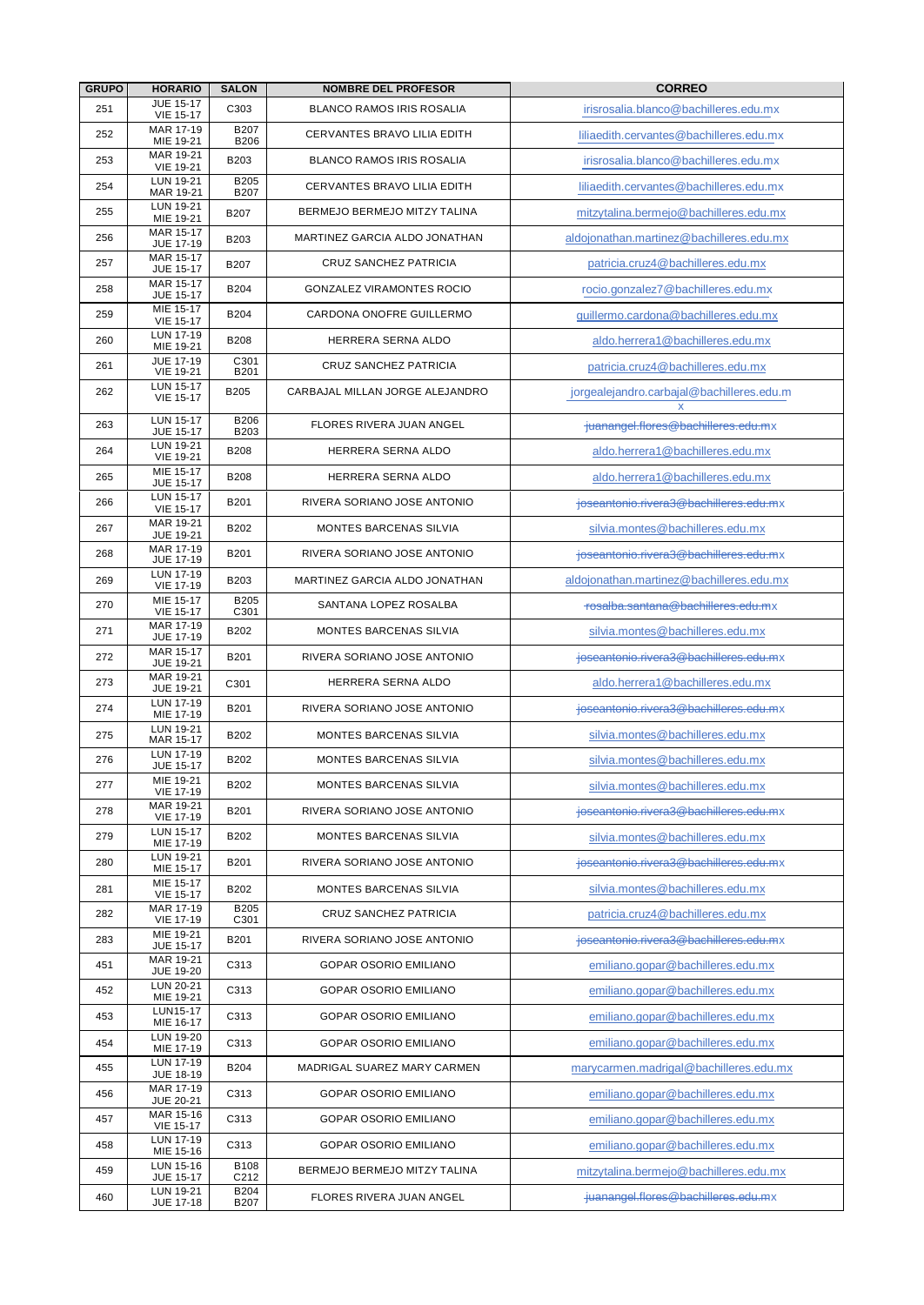| <b>GRUPO</b> | <b>HORARIO</b>                       | <b>SALON</b>               | <b>NOMBRE DEL PROFESOR</b>         | <b>CORREO</b>                             |
|--------------|--------------------------------------|----------------------------|------------------------------------|-------------------------------------------|
| 251          | <b>JUE 15-17</b><br><b>VIE 15-17</b> | C303                       | <b>BLANCO RAMOS IRIS ROSALIA</b>   | irisrosalia.blanco@bachilleres.edu.mx     |
| 252          | MAR 17-19<br>MIE 19-21               | <b>B207</b><br><b>B206</b> | CERVANTES BRAVO LILIA EDITH        | liliaedith.cervantes@bachilleres.edu.mx   |
| 253          | MAR 19-21<br><b>VIE 19-21</b>        | B203                       | <b>BLANCO RAMOS IRIS ROSALIA</b>   | irisrosalia.blanco@bachilleres.edu.mx     |
| 254          | LUN 19-21<br>MAR 19-21               | <b>B205</b><br><b>B207</b> | <b>CERVANTES BRAVO LILIA EDITH</b> | liliaedith.cervantes@bachilleres.edu.mx   |
| 255          | LUN 19-21<br>MIE 19-21               | <b>B207</b>                | BERMEJO BERMEJO MITZY TALINA       | mitzytalina.bermejo@bachilleres.edu.mx    |
| 256          | MAR 15-17<br><b>JUE 17-19</b>        | B203                       | MARTINEZ GARCIA ALDO JONATHAN      | aldoionathan.martinez@bachilleres.edu.mx  |
| 257          | MAR 15-17<br><b>JUE 15-17</b>        | <b>B207</b>                | <b>CRUZ SANCHEZ PATRICIA</b>       | patricia.cruz4@bachilleres.edu.mx         |
| 258          | MAR 15-17<br><b>JUE 15-17</b>        | <b>B204</b>                | <b>GONZALEZ VIRAMONTES ROCIO</b>   | rocio.gonzalez7@bachilleres.edu.mx        |
| 259          | MIE 15-17<br><b>VIE 15-17</b>        | <b>B204</b>                | CARDONA ONOFRE GUILLERMO           | quillermo.cardona@bachilleres.edu.mx      |
| 260          | LUN 17-19<br>MIE 19-21               | <b>B208</b>                | HERRERA SERNA ALDO                 | aldo.herrera1@bachilleres.edu.mx          |
| 261          | <b>JUE 17-19</b><br><b>VIE 19-21</b> | C301<br><b>B201</b>        | <b>CRUZ SANCHEZ PATRICIA</b>       | patricia.cruz4@bachilleres.edu.mx         |
| 262          | LUN 15-17<br><b>VIE 15-17</b>        | <b>B205</b>                | CARBAJAL MILLAN JORGE ALEJANDRO    | jorgealejandro.carbajal@bachilleres.edu.m |
| 263          | LUN 15-17<br><b>JUE 15-17</b>        | B206<br>B203               | <b>FLORES RIVERA JUAN ANGEL</b>    | juanangel.flores@bachilleres.edu.mx       |
| 264          | LUN 19-21<br><b>VIE 19-21</b>        | <b>B208</b>                | HERRERA SERNA ALDO                 | aldo.herrera1@bachilleres.edu.mx          |
| 265          | MIE 15-17<br><b>JUE 15-17</b>        | <b>B208</b>                | HERRERA SERNA ALDO                 | aldo.herrera1@bachilleres.edu.mx          |
| 266          | <b>LUN 15-17</b><br><b>VIE 15-17</b> | B201                       | RIVERA SORIANO JOSE ANTONIO        | joseantonio.rivera3@bachilleres.edu.mx    |
| 267          | MAR 19-21<br><b>JUE 19-21</b>        | B202                       | <b>MONTES BARCENAS SILVIA</b>      | silvia.montes@bachilleres.edu.mx          |
| 268          | MAR 17-19<br>JUE 17-19               | B201                       | RIVERA SORIANO JOSE ANTONIO        | joseantonio.rivera3@bachilleres.edu.mx    |
| 269          | LUN 17-19<br><b>VIE 17-19</b>        | B203                       | MARTINEZ GARCIA ALDO JONATHAN      | aldojonathan.martinez@bachilleres.edu.mx  |
| 270          | MIE 15-17<br><b>VIE 15-17</b>        | <b>B205</b><br>C301        | SANTANA LOPEZ ROSALBA              | rosalba.santana@bachilleres.edu.mx        |
| 271          | MAR 17-19<br>JUE 17-19               | B202                       | MONTES BARCENAS SILVIA             | silvia.montes@bachilleres.edu.mx          |
| 272          | MAR 15-17<br><b>JUE 19-21</b>        | B201                       | RIVERA SORIANO JOSE ANTONIO        | joseantonio.rivera3@bachilleres.edu.mx    |
| 273          | MAR 19-21<br>JUE 19-21               | C301                       | HERRERA SERNA ALDO                 | aldo.herrera1@bachilleres.edu.mx          |
| 274          | LUN 17-19<br>MIE 17-19               | B201                       | RIVERA SORIANO JOSE ANTONIO        | joseantonio.rivera3@bachilleres.edu.mx    |
| 275          | LUN 19-21<br>MAR 15-17               | B202                       | MONTES BARCENAS SILVIA             | silvia.montes@bachilleres.edu.mx          |
| 276          | LUN 17-19<br><b>JUE 15-17</b>        | B202                       | <b>MONTES BARCENAS SILVIA</b>      | silvia.montes@bachilleres.edu.mx          |
| 277          | MIE 19-21<br><b>VIE 17-19</b>        | B202                       | MONTES BARCENAS SILVIA             | silvia.montes@bachilleres.edu.mx          |
| 278          | MAR 19-21<br><b>VIE 17-19</b>        | B201                       | RIVERA SORIANO JOSE ANTONIO        | joseantonio.rivera3@bachilleres.edu.mx    |
| 279          | LUN 15-17<br>MIE 17-19               | B202                       | MONTES BARCENAS SILVIA             | silvia.montes@bachilleres.edu.mx          |
| 280          | LUN 19-21<br>MIE 15-17               | B201                       | RIVERA SORIANO JOSE ANTONIO        | joseantonio.rivera3@bachilleres.edu.mx    |
| 281          | MIE 15-17<br>VIE 15-17               | B202                       | MONTES BARCENAS SILVIA             | silvia.montes@bachilleres.edu.mx          |
| 282          | MAR 17-19<br><b>VIE 17-19</b>        | B205<br>C301               | <b>CRUZ SANCHEZ PATRICIA</b>       | patricia.cruz4@bachilleres.edu.mx         |
| 283          | MIE 19-21<br><b>JUE 15-17</b>        | B201                       | RIVERA SORIANO JOSE ANTONIO        | joseantonio.rivera3@bachilleres.edu.mx    |
| 451          | MAR 19-21<br><b>JUE 19-20</b>        | C313                       | <b>GOPAR OSORIO EMILIANO</b>       | emiliano.gopar@bachilleres.edu.mx         |
| 452          | LUN 20-21<br>MIE 19-21               | C313                       | GOPAR OSORIO EMILIANO              | emiliano.gopar@bachilleres.edu.mx         |
| 453          | LUN15-17<br>MIE 16-17                | C313                       | GOPAR OSORIO EMILIANO              | emiliano.gopar@bachilleres.edu.mx         |
| 454          | LUN 19-20<br>MIE 17-19               | C313                       | GOPAR OSORIO EMILIANO              | emiliano.gopar@bachilleres.edu.mx         |
| 455          | LUN 17-19<br>JUE 18-19               | B204                       | MADRIGAL SUAREZ MARY CARMEN        | marycarmen.madrigal@bachilleres.edu.mx    |
| 456          | MAR 17-19<br><b>JUE 20-21</b>        | C313                       | GOPAR OSORIO EMILIANO              | emiliano.gopar@bachilleres.edu.mx         |
| 457          | MAR 15-16<br><b>VIE 15-17</b>        | C313                       | GOPAR OSORIO EMILIANO              | emiliano.gopar@bachilleres.edu.mx         |
| 458          | LUN 17-19<br>MIE 15-16               | C313                       | <b>GOPAR OSORIO EMILIANO</b>       | emiliano.gopar@bachilleres.edu.mx         |
| 459          | LUN 15-16<br><b>JUE 15-17</b>        | B108<br>C212               | BERMEJO BERMEJO MITZY TALINA       | mitzytalina.bermejo@bachilleres.edu.mx    |
| 460          | LUN 19-21<br><b>JUE 17-18</b>        | <b>B204</b><br><b>B207</b> | FLORES RIVERA JUAN ANGEL           | juanangel.flores@bachilleres.edu.mx       |